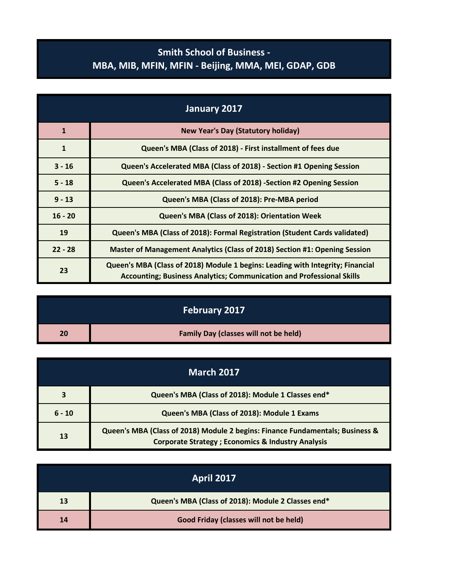## **Smith School of Business - MBA, MIB, MFIN, MFIN - Beijing, MMA, MEI, GDAP, GDB**

| January 2017 |                                                                                                                                                                |
|--------------|----------------------------------------------------------------------------------------------------------------------------------------------------------------|
| $\mathbf{1}$ | <b>New Year's Day (Statutory holiday)</b>                                                                                                                      |
| $\mathbf{1}$ | Queen's MBA (Class of 2018) - First installment of fees due                                                                                                    |
| $3 - 16$     | Queen's Accelerated MBA (Class of 2018) - Section #1 Opening Session                                                                                           |
| $5 - 18$     | Queen's Accelerated MBA (Class of 2018) -Section #2 Opening Session                                                                                            |
| $9 - 13$     | Queen's MBA (Class of 2018): Pre-MBA period                                                                                                                    |
| $16 - 20$    | Queen's MBA (Class of 2018): Orientation Week                                                                                                                  |
| 19           | Queen's MBA (Class of 2018): Formal Registration (Student Cards validated)                                                                                     |
| $22 - 28$    | Master of Management Analytics (Class of 2018) Section #1: Opening Session                                                                                     |
| 23           | Queen's MBA (Class of 2018) Module 1 begins: Leading with Integrity; Financial<br><b>Accounting; Business Analytics; Communication and Professional Skills</b> |

|    | February 2017                                |
|----|----------------------------------------------|
| 20 | <b>Family Day (classes will not be held)</b> |

| <b>March 2017</b> |                                                                                                                                                |
|-------------------|------------------------------------------------------------------------------------------------------------------------------------------------|
|                   | Queen's MBA (Class of 2018): Module 1 Classes end*                                                                                             |
| $6 - 10$          | Queen's MBA (Class of 2018): Module 1 Exams                                                                                                    |
| 13                | Queen's MBA (Class of 2018) Module 2 begins: Finance Fundamentals; Business &<br><b>Corporate Strategy ; Economics &amp; Industry Analysis</b> |

| <b>April 2017</b> |                                                    |
|-------------------|----------------------------------------------------|
| 13                | Queen's MBA (Class of 2018): Module 2 Classes end* |
| 14                | Good Friday (classes will not be held)             |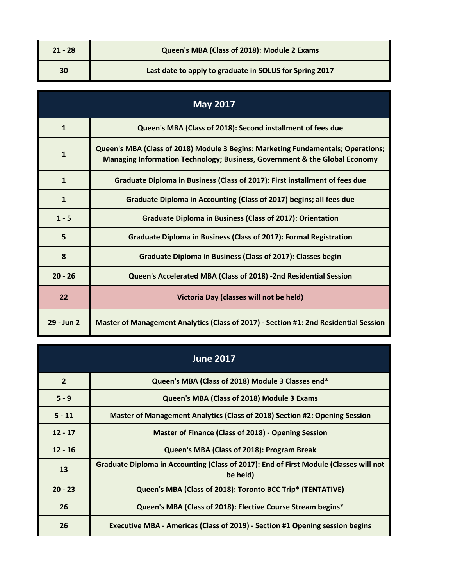| $21 - 28$ | Queen's MBA (Class of 2018): Module 2 Exams             |
|-----------|---------------------------------------------------------|
| 30        | Last date to apply to graduate in SOLUS for Spring 2017 |

| <b>May 2017</b> |                                                                                                                                                                |
|-----------------|----------------------------------------------------------------------------------------------------------------------------------------------------------------|
| $\mathbf{1}$    | Queen's MBA (Class of 2018): Second installment of fees due                                                                                                    |
| $\mathbf{1}$    | Queen's MBA (Class of 2018) Module 3 Begins: Marketing Fundamentals; Operations;<br>Managing Information Technology; Business, Government & the Global Economy |
| $\mathbf{1}$    | Graduate Diploma in Business (Class of 2017): First installment of fees due                                                                                    |
| $\mathbf{1}$    | Graduate Diploma in Accounting (Class of 2017) begins; all fees due                                                                                            |
| $1 - 5$         | <b>Graduate Diploma in Business (Class of 2017): Orientation</b>                                                                                               |
| 5               | Graduate Diploma in Business (Class of 2017): Formal Registration                                                                                              |
| 8               | <b>Graduate Diploma in Business (Class of 2017): Classes begin</b>                                                                                             |
| $20 - 26$       | Queen's Accelerated MBA (Class of 2018) -2nd Residential Session                                                                                               |
| 22              | Victoria Day (classes will not be held)                                                                                                                        |
| 29 - Jun 2      | Master of Management Analytics (Class of 2017) - Section #1: 2nd Residential Session                                                                           |

| <b>June 2017</b> |                                                                                                   |
|------------------|---------------------------------------------------------------------------------------------------|
| $\overline{2}$   | Queen's MBA (Class of 2018) Module 3 Classes end*                                                 |
| $5 - 9$          | Queen's MBA (Class of 2018) Module 3 Exams                                                        |
| $5 - 11$         | Master of Management Analytics (Class of 2018) Section #2: Opening Session                        |
| $12 - 17$        | <b>Master of Finance (Class of 2018) - Opening Session</b>                                        |
| $12 - 16$        | Queen's MBA (Class of 2018): Program Break                                                        |
| 13               | Graduate Diploma in Accounting (Class of 2017): End of First Module (Classes will not<br>be held) |
| $20 - 23$        | Queen's MBA (Class of 2018): Toronto BCC Trip* (TENTATIVE)                                        |
| 26               | Queen's MBA (Class of 2018): Elective Course Stream begins*                                       |
| 26               | Executive MBA - Americas (Class of 2019) - Section #1 Opening session begins                      |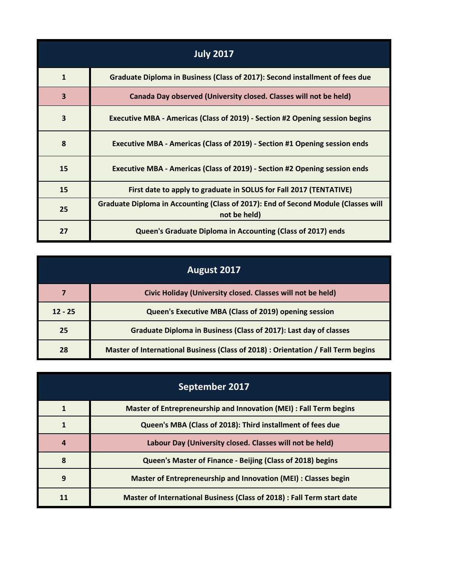| <b>July 2017</b>        |                                                                                                    |
|-------------------------|----------------------------------------------------------------------------------------------------|
| $\mathbf{1}$            | Graduate Diploma in Business (Class of 2017): Second installment of fees due                       |
| $\overline{\mathbf{3}}$ | Canada Day observed (University closed. Classes will not be held)                                  |
| $\overline{\mathbf{3}}$ | Executive MBA - Americas (Class of 2019) - Section #2 Opening session begins                       |
| 8                       | Executive MBA - Americas (Class of 2019) - Section #1 Opening session ends                         |
| 15                      | Executive MBA - Americas (Class of 2019) - Section #2 Opening session ends                         |
| 15                      | First date to apply to graduate in SOLUS for Fall 2017 (TENTATIVE)                                 |
| 25                      | Graduate Diploma in Accounting (Class of 2017): End of Second Module (Classes will<br>not be held) |
| 27                      | Queen's Graduate Diploma in Accounting (Class of 2017) ends                                        |

| August 2017 |                                                                                   |
|-------------|-----------------------------------------------------------------------------------|
|             | Civic Holiday (University closed. Classes will not be held)                       |
| $12 - 25$   | Queen's Executive MBA (Class of 2019) opening session                             |
| 25          | Graduate Diploma in Business (Class of 2017): Last day of classes                 |
| 28          | Master of International Business (Class of 2018) : Orientation / Fall Term begins |

| September 2017 |                                                                         |
|----------------|-------------------------------------------------------------------------|
|                | Master of Entrepreneurship and Innovation (MEI) : Fall Term begins      |
|                | Queen's MBA (Class of 2018): Third installment of fees due              |
| 4              | Labour Day (University closed. Classes will not be held)                |
| 8              | Queen's Master of Finance - Beijing (Class of 2018) begins              |
| 9              | Master of Entrepreneurship and Innovation (MEI) : Classes begin         |
| 11             | Master of International Business (Class of 2018) : Fall Term start date |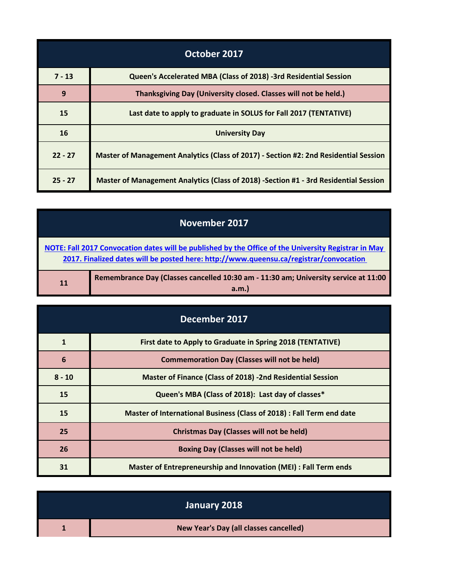| October 2017 |                                                                                      |
|--------------|--------------------------------------------------------------------------------------|
| $7 - 13$     | Queen's Accelerated MBA (Class of 2018) -3rd Residential Session                     |
| 9            | Thanksgiving Day (University closed. Classes will not be held.)                      |
| 15           | Last date to apply to graduate in SOLUS for Fall 2017 (TENTATIVE)                    |
| 16           | <b>University Day</b>                                                                |
| $22 - 27$    | Master of Management Analytics (Class of 2017) - Section #2: 2nd Residential Session |
| $25 - 27$    | Master of Management Analytics (Class of 2018) -Section #1 - 3rd Residential Session |

| November 2017                                                                                                                                                                                  |                                                                                             |
|------------------------------------------------------------------------------------------------------------------------------------------------------------------------------------------------|---------------------------------------------------------------------------------------------|
| NOTE: Fall 2017 Convocation dates will be published by the Office of the University Registrar in May<br>2017. Finalized dates will be posted here: http://www.queensu.ca/registrar/convocation |                                                                                             |
| 11                                                                                                                                                                                             | Remembrance Day (Classes cancelled 10:30 am - 11:30 am; University service at 11:00<br>a.m. |

| December 2017 |                                                                       |
|---------------|-----------------------------------------------------------------------|
| $\mathbf{1}$  | First date to Apply to Graduate in Spring 2018 (TENTATIVE)            |
| 6             | <b>Commemoration Day (Classes will not be held)</b>                   |
| $8 - 10$      | <b>Master of Finance (Class of 2018) -2nd Residential Session</b>     |
| 15            | Queen's MBA (Class of 2018): Last day of classes*                     |
| 15            | Master of International Business (Class of 2018) : Fall Term end date |
| 25            | <b>Christmas Day (Classes will not be held)</b>                       |
| 26            | <b>Boxing Day (Classes will not be held)</b>                          |
| 31            | Master of Entrepreneurship and Innovation (MEI) : Fall Term ends      |

| January 2018                           |
|----------------------------------------|
| New Year's Day (all classes cancelled) |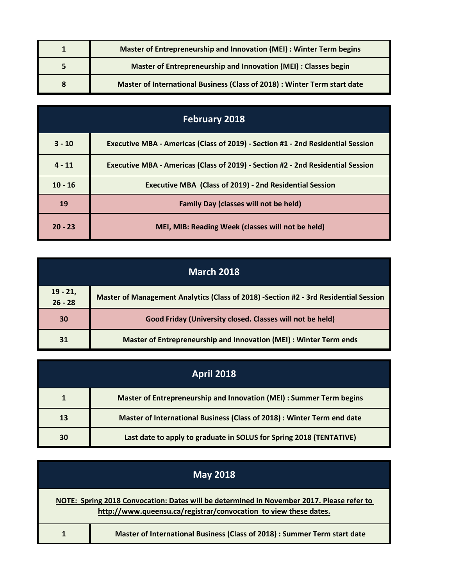| Master of Entrepreneurship and Innovation (MEI) : Winter Term begins      |
|---------------------------------------------------------------------------|
| Master of Entrepreneurship and Innovation (MEI) : Classes begin           |
| Master of International Business (Class of 2018) : Winter Term start date |

| <b>February 2018</b> |                                                                                 |
|----------------------|---------------------------------------------------------------------------------|
| $3 - 10$             | Executive MBA - Americas (Class of 2019) - Section #1 - 2nd Residential Session |
| $4 - 11$             | Executive MBA - Americas (Class of 2019) - Section #2 - 2nd Residential Session |
| $10 - 16$            | <b>Executive MBA (Class of 2019) - 2nd Residential Session</b>                  |
| 19                   | <b>Family Day (classes will not be held)</b>                                    |
| $20 - 23$            | MEI, MIB: Reading Week (classes will not be held)                               |

| <b>March 2018</b>       |                                                                                      |
|-------------------------|--------------------------------------------------------------------------------------|
| $19 - 21,$<br>$26 - 28$ | Master of Management Analytics (Class of 2018) -Section #2 - 3rd Residential Session |
| 30                      | Good Friday (University closed. Classes will not be held)                            |
| 31                      | Master of Entrepreneurship and Innovation (MEI) : Winter Term ends                   |

| <b>April 2018</b> |                                                                         |
|-------------------|-------------------------------------------------------------------------|
|                   | Master of Entrepreneurship and Innovation (MEI) : Summer Term begins    |
| 13                | Master of International Business (Class of 2018) : Winter Term end date |
| 30                | Last date to apply to graduate in SOLUS for Spring 2018 (TENTATIVE)     |

| <b>May 2018</b>                                                                                                                                               |  |
|---------------------------------------------------------------------------------------------------------------------------------------------------------------|--|
| NOTE: Spring 2018 Convocation: Dates will be determined in November 2017. Please refer to<br>http://www.queensu.ca/registrar/convocation to view these dates. |  |
| Master of International Business (Class of 2018) : Summer Term start date                                                                                     |  |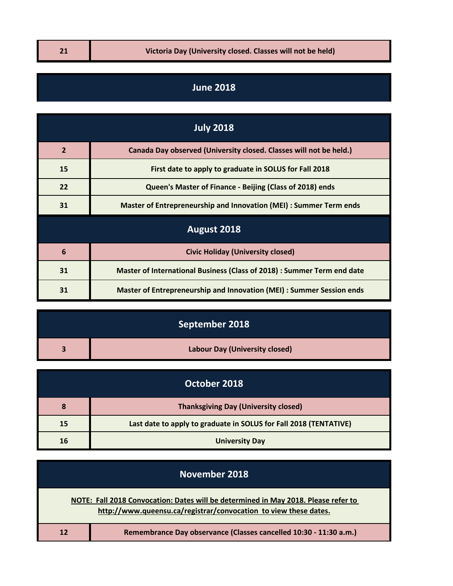## **June 2018**

| <b>July 2018</b> |                                                                         |  |
|------------------|-------------------------------------------------------------------------|--|
| $\overline{2}$   | Canada Day observed (University closed. Classes will not be held.)      |  |
| 15               | First date to apply to graduate in SOLUS for Fall 2018                  |  |
| 22               | Queen's Master of Finance - Beijing (Class of 2018) ends                |  |
| 31               | Master of Entrepreneurship and Innovation (MEI) : Summer Term ends      |  |
| August 2018      |                                                                         |  |
| $6\phantom{1}6$  | <b>Civic Holiday (University closed)</b>                                |  |
| 31               | Master of International Business (Class of 2018) : Summer Term end date |  |
| 31               | Master of Entrepreneurship and Innovation (MEI) : Summer Session ends   |  |

| September 2018                        |
|---------------------------------------|
| <b>Labour Day (University closed)</b> |

| October 2018 |                                                                   |
|--------------|-------------------------------------------------------------------|
| 8            | <b>Thanksgiving Day (University closed)</b>                       |
| 15           | Last date to apply to graduate in SOLUS for Fall 2018 (TENTATIVE) |
| 16           | <b>University Day</b>                                             |

| November 2018                                                                                                                                          |
|--------------------------------------------------------------------------------------------------------------------------------------------------------|
| NOTE: Fall 2018 Convocation: Dates will be determined in May 2018. Please refer to<br>http://www.queensu.ca/registrar/convocation to view these dates. |
| Remembrance Day observance (Classes cancelled 10:30 - 11:30 a.m.)                                                                                      |